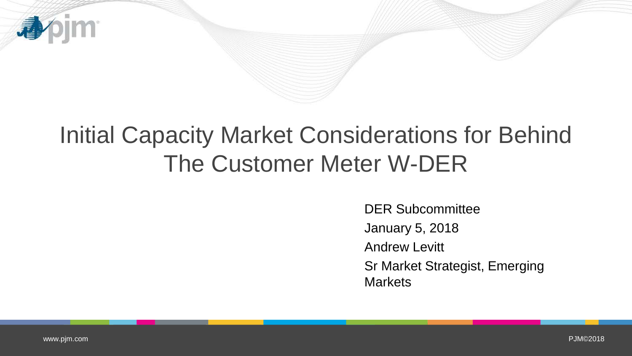

## Initial Capacity Market Considerations for Behind The Customer Meter W-DER

DER Subcommittee January 5, 2018 Andrew Levitt Sr Market Strategist, Emerging **Markets**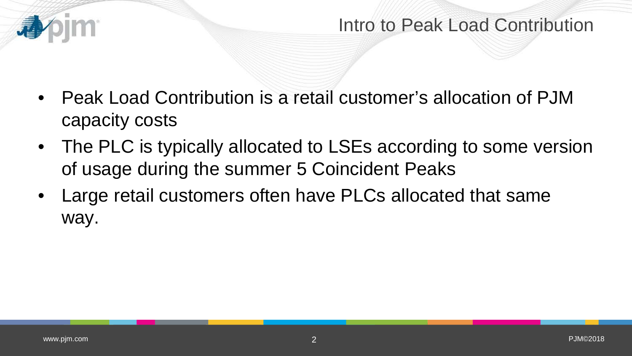

## Intro to Peak Load Contribution

- Peak Load Contribution is a retail customer's allocation of PJM capacity costs
- The PLC is typically allocated to LSEs according to some version of usage during the summer 5 Coincident Peaks
- Large retail customers often have PLCs allocated that same way.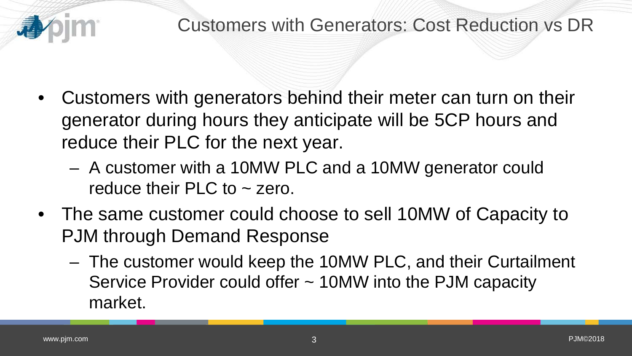

- Customers with generators behind their meter can turn on their generator during hours they anticipate will be 5CP hours and reduce their PLC for the next year.
	- A customer with a 10MW PLC and a 10MW generator could reduce their  $PLC$  to  $\sim$  zero.
- The same customer could choose to sell 10MW of Capacity to PJM through Demand Response
	- The customer would keep the 10MW PLC, and their Curtailment Service Provider could offer ~ 10MW into the PJM capacity market.